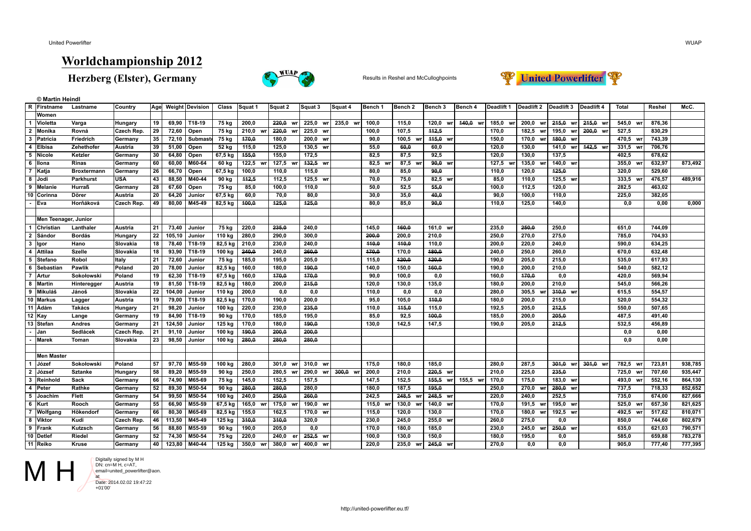**© Martin Heindl**

## **Worldchampionship 2012**

**Herzberg (Elster), Germany** Results in Reshel and McCulloghpoints





| R              | Firstname            | Lastname           | Country           | Age             |         | Weight Devision | Class     | Squat 1     | Squat 2     | Squat 3     | Squat 4     | Bench 1  | Bench <sub>2</sub> | Bench 3     | Bench 4  | Deadlift 1  | Deadlift 2  | Deadlift 3  | Deadlift 4 | Total    | Reshel | McC.    |
|----------------|----------------------|--------------------|-------------------|-----------------|---------|-----------------|-----------|-------------|-------------|-------------|-------------|----------|--------------------|-------------|----------|-------------|-------------|-------------|------------|----------|--------|---------|
|                | Women                |                    |                   |                 |         |                 |           |             |             |             |             |          |                    |             |          |             |             |             |            |          |        |         |
| $\overline{1}$ | Violetta             | Varga              | Hungary           | 19              | 69,90   | T18.19          | 75 kg     | 200,0       | 220,0       | 225,0 wr    | 235,0 wr    | 100,0    | 115,0              | 120,0<br>wr | 440,0 wr | 185,0<br>wr | 200,0<br>WI | 215,0 wr    | 215,0 wr   | 545,0 wr | 876,36 |         |
| $\overline{2}$ | Monika               | Rovná              | Czech Rep.        | $\overline{29}$ | 72,60   | Open            | 75 kg     | 210,0<br>wr | 220,0       | 225,0<br>wr |             | 100,0    | 107,5              | 142,5       |          | 170,0       | 182,5       | 195,0<br>wr | 200,0 wr   | 527,5    | 830,29 |         |
| $\mathbf{3}$   | Patricia             | Friedrich          | Germany           | 35              | 72,10   | <b>Submas</b>   | $75$ kg   | 470,0       | 180,0       | 200,0 wr    |             | 90,0     | 100,5<br>wr        | 445,0 wr    |          | 150,0       | 170,0       | 480,0 wr    |            | 470,5 wr | 743,39 |         |
| $\overline{4}$ | Elbisa               | Zehethofer         | Austria           | 39              | 51,00   | Open            | 52 kg     | 115,0       | 125,0       | 130,5 wr    |             | 55,0     | 60,0               | 60,0        |          | 120,0       | 130,0       | 141,0 wr    | 442,5 wr   | 331,5 wr | 706,76 |         |
| 5              | Nicole               | Ketzler            | Germany           | 30              | 64,80   | Open            | 67,5 kg   | 155,0       | 155,0       | 172,5       |             | 82,5     | 87,5               | 92,5        |          | 120,0       | 130,0       | 137,5       |            | 402,5    | 678,62 |         |
|                | 6 Ilona              | Rinas              | Germany           | 60              | 60,00   | M60-64          | 60 kg     | 122,5 wr    | $127,5$ wi  | $132,5$ wr  |             | 82,5 wr  | 87,5<br>wr         | $90,0$ wr   |          | 127,5<br>wr | 135,0       | 140,0 wr    |            | 355,0 wr | 632,97 | 873,492 |
| $\overline{7}$ | Katja                | <b>Broxtermann</b> | Germany           | 26              | 66,70   | Open            | 67,5 kg   | 100,0       | 110,0       | 115,0       |             | 80,0     | 85,0               | 90,0        |          | 110,0       | 120,0       | 425,0       |            | 320.0    | 529,60 |         |
|                | 8 Jodi               | Parkhurst          | <b>USA</b>        | 43              | 88,50   | M40-44          | $90$ kg   | 142,5       | 112,5       | 125,5 wr    |             | 70,0     | 75,0               | 82,5 wr     |          | 85,0        | 110,0       | 125,5 wr    |            | 333,5 wr | 476,57 | 489,916 |
| 9              | <b>Melanie</b>       | Hurraß             | Germany           | 28              | 67,60   | Open            | 75 kg     | 85,0        | 100,0       | 110,0       |             | 50,0     | 52,5               | 55.0        |          | 100,0       | 112,5       | 120,0       |            | 282,5    | 463,02 |         |
|                | 10 Corinna           | Dörer              | Austria           | 20              | 64,20   | Junior          | 67,5 kg   | 60,0        | 70,0        | 80,0        |             | 30,0     | 35,0               | 40,0        |          | 90,0        | 100,0       | 110,0       |            | 225,0    | 382,05 |         |
|                | Eva                  | Horňáková          | Czech Rep.        | 49              | 80,00   | M45-49          | 82,5 kg   | 400,0       | 125,0       | 125,0       |             | 80,0     | 85,0               | 90,0        |          | 110,0       | 125,0       | 140,0       |            | 0,0      | 0,00   | 0,000   |
|                |                      |                    |                   |                 |         |                 |           |             |             |             |             |          |                    |             |          |             |             |             |            |          |        |         |
|                | Men Teenager, Junior |                    |                   |                 |         |                 |           |             |             |             |             |          |                    |             |          |             |             |             |            |          |        |         |
| $\overline{1}$ | <b>Christian</b>     | Lanthaler          | Austria           | 21              | 73,40   | Junior          | 75 kg     | 220,0       | 235,0       | 240.0       |             | 145,0    | 460,0              | 161,0<br>wr |          | 235,0       | 250,0       | 250,0       |            | 651,0    | 744,09 |         |
| $\overline{2}$ | l Sándor             | <b>Bordás</b>      | Hungary           | 22              | 105, 10 | Junior          | 110 kg    | 280,0       | 290,0       | 300,0       |             | 200,0    | 200.0              | 210,0       |          | 250,0       | 270,0       | 275,0       |            | 785.0    | 704,93 |         |
| $\mathbf{3}$   | lgor                 | Hano               | Slovakia          | 18              | 78,40   | T18-19          | 82,5 kg   | 210,0       | 230,0       | 240,0       |             | 440,0    | 440,0              | 110,0       |          | 200,0       | 220,0       | 240,0       |            | 590.0    | 634,25 |         |
|                | 4 Attilaa            | <b>Szelle</b>      | Slovakia          | 18              | 93,90   | T18-19          | 100 kg    | 240,0       | 240,0       | 260.0       |             | 470,0    | 170,0              | 480,0       |          | 240,0       | 250,0       | 260,0       |            | 670.0    | 632,48 |         |
| 5              | Stefano              | Robol              | <b>Italy</b>      | 21              | 72,60   | Junior          | 75 kg     | 185,0       | 195,0       | 205,0       |             | 115,0    | 120,0              | 120,0       |          | 190,0       | 205,0       | 215,0       |            | 535,0    | 617,93 |         |
| 6              | Sebastiar            | Pawlik             | Poland            | 20              | 78,00   | Junior          | 82,5 kg   | 160,0       | 180,0       | 190,0       |             | 140,0    | 150,0              | 160,0       |          | 190,0       | 200,0       | 210,0       |            | 540.0    | 582,12 |         |
| $\overline{7}$ | Artur                | Sokołowski         | Poland            | 19              | 62,30   | T18-19          | $67,5$ kg | 160,0       | 470,0       | 170,0       |             | 90,0     | 100,0              | 0,0         |          | 160,0       | 170,0       | 0,0         |            | 420,0    | 569,94 |         |
| 8              | Martin               | Hinteregger        | Austria           | 19              | 81,50   | T18-19          | 82,5 kg   | 180,0       | 200,0       | 245,0       |             | 120,0    | 130,0              | 135,0       |          | 180,0       | 200,0       | 210,0       |            | 545,0    | 566,26 |         |
| 9              | Mikuláš              | Jánoš              | Slovakia          | $\overline{22}$ | 104,00  | Junior          | 110 kg    | 200,0       | 0,0         | 0,0         |             | 110,0    | 0,0                | 0,0         |          | 280,0       | 305,5       | $310,0$ wr  |            | 615,5    | 554,57 |         |
|                | 10   Markus          | Lagger             | Austria           | 19              | 79,00   | T18-19          | 82,5 kg   | 170,0       | 190,0       | 200,0       |             | 95,0     | 105,0              | 440,0       |          | 180,0       | 200,0       | 215,0       |            | 520.0    | 554,32 |         |
|                | 11 Adám              | <b>Takács</b>      | <b>Hungary</b>    | 21              | 98,20   | Junior          | 100 kg    | 220,0       | 230,0       | 235,0       |             | 110,0    | 145,0              | 115,0       |          | 192,5       | 205,0       | 242,5       |            | 550.0    | 507,65 |         |
|                | $12$ Kay             | Lange              | Germany           | 19              | 84,90   | T18-19          | 90 kg     | 170,0       | 185,0       | 195,0       |             | 85,0     | 92,5               | 400,0       |          | 185,0       | 200.0       | 205,0       |            | 487,5    | 491,40 |         |
|                | 13 Stefan            | <b>Andres</b>      | Germany           | 21              | 124,50  | Junior          | $125$ kg  | 170,0       | 180,0       | 190,0       |             | 130,0    | 142,5              | 147,5       |          | 190.0       | 205.0       | 242,5       |            | 532,5    | 456,89 |         |
|                | Jan                  | Sedlácek           | <b>Czech Rep.</b> | 21              | 91,10   | Junior          | 100 kg    | 490,0       | 200,0       | 200,0       |             |          |                    |             |          |             |             |             |            | 0, 0     | 0,00   |         |
|                | <b>Marek</b>         | Toman              | Slovakia          | 23              | 98,50   | Junior          | 100 kg    | 280,0       | 280,0       | 280,0       |             |          |                    |             |          |             |             |             |            | 0, 0     | 0,00   |         |
|                |                      |                    |                   |                 |         |                 |           |             |             |             |             |          |                    |             |          |             |             |             |            |          |        |         |
|                | <b>Men Master</b>    |                    |                   |                 |         |                 |           |             |             |             |             |          |                    |             |          |             |             |             |            |          |        |         |
| $\mathbf{1}$   | l Józef              | Sokołowski         | Poland            | 57              | 97,70   | M55-59          | 100 kg    | 280,0       | 301.0<br>WI | 310,0<br>wr |             | 175,0    | 180.0              | 185,0       |          | 280.0       | 287,5       | 301,0<br>wr | 301.0 wr   | 782.5 wr | 723,81 | 938,785 |
| $\overline{2}$ | József               | <b>Sztanke</b>     | Hungary           | 58              | 89,20   | M55-59          | 90 kg     | 250,0       | 280.5 wr    | 290,0<br>wr | 300,0<br>wr | 200,0    | 210.0              | $220,5$ wr  |          | 210.0       | 225,0       | 235,0       |            | 725.0 wr | 707,60 | 935,447 |
| $\mathbf{3}$   | ∣Reinhold            | Sack               | Germany           | 66              | 74,90   | M65-69          | 75 kg     | 145,0       | 152.5       | 157,5       |             | 147,5    | 152,5              | 155,5<br>wr | 155.5 wr | 170,0       | 175.0       | 183,0 wr    |            | 493.0 wr | 552,16 | 864,130 |
| $\overline{4}$ | Peter                | Rathke             | Germany           | 52              | 89,30   | M50-54          | $90$ kg   | 280,0       | 280,0       | 280.0       |             | 180.0    | 187.5              | 195,0       |          | 250,0       | 270,0       | 280,0 wr    |            | 737,5    | 718,33 | 852,652 |
| 5              | <b>Joachim</b>       | Flett              | Germany           | 54              | 99,50   | M50-54          | 100 kg    | 240,0       | 250.0       | 260.0       |             | 242.5    | 248.5              | $248,5$ wr  |          | 220,0       | 240.0       | 252,5       |            | 735.0    | 674,00 | 827,666 |
| 6              | Kurt                 | Rooch              | Germany           | 55              | 66,90   | M55-59          | $67,5$ kg | 165,0       | 175,0       | 190,0 wr    |             | 115,0 wr | 130,0<br>wr        | 140,0 wr    |          | 170,0       | 191,5       | 195,0 wr    |            | 525.0 wr | 657,30 | 821,625 |
| $\overline{7}$ | Wolfgang             | Hökendorf          | Germany           | 66              | 80,30   | M65-69          | 82,5 kg   | 155,0       | 162,5       | 170,0 wr    |             | 115,0    | 120,0              | 130,0       |          | 170,0       | 180,0<br>WI | 192,5 wr    |            | 492,5 wr | 517,62 | 810,071 |
|                | 8 Viktor             | Kudi               | <b>Czech Rep.</b> | 46              | 113,50  | M45-49          | $125$ kg  | 340,0       | 340,0       | 320,0       |             | 230,0    | 245,0              | 255,0 wr    |          | 260,0       | 275.0       | 0,0         |            | 850,0    | 744,60 | 802,679 |
|                | 9 Frank              | Kutzsch            | Germany           | 56              | 88,80   | M55-59          | 90 kg     | 190,0       | 205.0       | 0.0         |             | 170,0    | 180,0              | 185,0       |          | 230,0       | 245,0       | $250,0$ wr  |            | 635.0    | 621,03 | 790,571 |
|                | 10 Detlef            | Riedel             | Germany           | 52              | 74,30   | M50-54          | $75$ kg   | 220,0       | 240.0<br>er | 252,5<br>wr |             | 100.0    | 130,0              | 150,0       |          | 180.0       | 195,0       | 0.0         |            | 585,0    | 659,88 | 783,278 |
|                | 11 Reiko             | Kruse              | Germany           | 40              | 123.80  | M40-44          | 125 kg    | 350.0<br>wr | 380.0 wr    | 400.0 wr    |             | 220.0    | 235.0<br>wr        | 245,0 wr    |          | 270.0       | 0.0         | 0.0         |            | 905.0    | 777,40 | 777,395 |

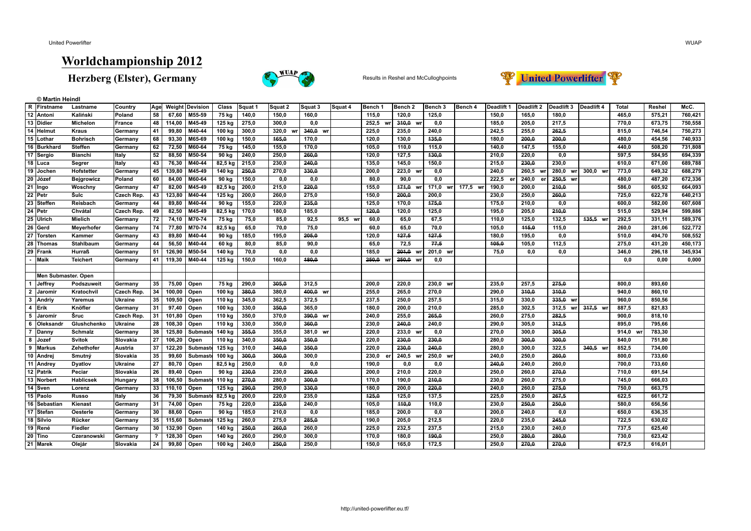**© Martin Heindl**

## **Worldchampionship 2012**

**Herzberg (Elster), Germany** Results in Reshel and McCulloghpoints





|                 | R Firstname         | Lastname          | Country    | Age                        |        | <b>Weight Devision</b> | Class    | Squat 1 | Squat 2 | Squat 3     | Squat 4 | Bench 1     | Bench <sub>2</sub> | Bench 3     | Bench 4  | Deadlift 1      | Deadlift 2 | Deadlift 3  | Deadlift 4 | <b>Total</b> | Reshel | McC.    |
|-----------------|---------------------|-------------------|------------|----------------------------|--------|------------------------|----------|---------|---------|-------------|---------|-------------|--------------------|-------------|----------|-----------------|------------|-------------|------------|--------------|--------|---------|
|                 | 12 Antoni           | Kaliński          | Poland     | 58                         | 67,60  | M55 59                 | 75 kg    | 140,0   | 150,0   | 160,0       |         | 115.0       | 120,0              | 125,0       |          | 150.0           | 165,0      | 180,0       |            | 465.0        | 575,21 | 760,421 |
|                 | 13 Didier           | <b>Michelon</b>   | France     | 48                         | 114,00 | M45-49                 | 125 kg   | 275,0   | 300.0   | 0.0         |         | 252.5<br>wr | 310,0 wr           | 0.0         |          | 185,0           | 205.0      | 217,5       |            | 770,0        | 673,75 | 750,558 |
| 14              | Helmut              | <b>Kraus</b>      | Germany    | 41                         | 99,80  | M40-44                 | 100 kg   | 300,0   | 320.0   | 340,0<br>WI |         | 225,0       | 235,0              | 240.0       |          | 242.5           | 255,0      | 262.5       |            | 815.0        | 746,54 | 750,273 |
|                 | 15 Lothar           | <b>Bohrisch</b>   | Germany    | 68                         | 93,30  | M65-69                 | 100 kg   | 150,0   | 165.0   | 170.0       |         | 120.0       | 130.0              | 435.0       |          | 180,0           | 200.0      | 200,0       |            | 480.0        | 454,56 | 740,933 |
|                 | 16 Burkhard         | <b>Steffen</b>    | Germany    | 62                         | 72,50  | M60-64                 | 75 kg    | 145,0   | 155,0   | 170,0       |         | 105,0       | 110,0              | 115,0       |          | 140,0           | 147,5      | 155,0       |            | 440,0        | 508,20 | 731,808 |
|                 | 17 Sergio           | <b>Bianchi</b>    | Italy      | 52                         | 88,50  | M50 54                 | $90$ kg  | 240,0   | 250,0   | 260,0       |         | 120,0       | 127,5              | 430,0       |          | 210,0           | 220,0      | 0,0         |            | 597,5        | 584,95 | 694,339 |
|                 | $18$ Luca           | Segrer            | Italy      | 43                         | 76,30  | M40-44                 | 82,5 kg  | 215,0   | 230,0   | 240,0       |         | 135,0       | 145,0              | 150,0       |          | 215,0           | 230,0      | 230,0       |            | 610,0        | 671,00 | 689,788 |
|                 | 19 Jochen           | Hofstetter        | Germany    | 45                         | 139,80 | M45-49                 | 140 kg   | 250,0   | 270,0   | 330,0       |         | 200,0       | 223,0<br>wr        | 0,0         |          | 240,0           | 260,5      | 280,0<br>wr | 300,0 wr   | 773,0        | 649,32 | 688,279 |
| $\overline{20}$ | Józef               | <b>Bejgrowicz</b> | Poland     | 60                         | 84,00  | M60-64                 | 90 kg    | 150,0   | 0,0     | 0,0         |         | 80,0        | 90,0               | 0,0         |          | 222,5<br>$\sim$ | 240,0<br>e | 250,5 wr    |            | 480,0        | 487,20 | 672,336 |
|                 | $\sqrt{21}$ Ingo    | Woschny           | Germany    | 47                         | 82,00  | M45-49                 | 82,5 kg  | 200,0   | 215,0   | 220,0       |         | 155,0       | 171,0<br>wr        | 171,0<br>wr | 177,5 wr | 190,0           | 200,0      | 240,0       |            | 586,0        | 605,92 | 664,093 |
|                 | 22 Petr             | Šulc              | Czech Rep  | 43                         | 123,80 | M40-44                 | $125$ kg | 200.0   | 260.0   | 275.0       |         | 150.0       | 200.0              | 200.0       |          | 230.0           | 250,0      | 260.0       |            | 725.0        | 622.78 | 640,213 |
|                 | 23 Steffen          | Reisbach          | Germany    | 44                         | 89,80  | M40-44                 | 90 kg    | 155,0   | 220.0   | 235.0       |         | 125.0       | 170.0              | 475,0       |          | 175,0           | 210,0      | 0.0         |            | 600.0        | 582,00 | 607,608 |
| 24              | <b>Petr</b>         | Chvátal           | Czech Rep. | 49                         | 82,50  | M45-49                 | 82,5 kg  | 170,0   | 180.0   | 185,0       |         | 120.0       | 120.0              | 125.0       |          | 195.0           | 205.0      | 210.0       |            | 515.0        | 529,94 | 599,886 |
|                 | 25 Ulrich           | Mielich           | Germany    | 72                         | 74,10  | M70-74                 | 75 kg    | 75,0    | 85,0    | 92,5        | 95,5 wr | 60,0        | 65,0               | 67,5        |          | 110,0           | 125,0      | 132,5       | 435,5 wr   | 292,5        | 331,11 | 589,376 |
| 26              | Gerd                | Meyerhofer        | Germany    | 74                         | 77,80  | M70-74                 | 82,5 kg  | 65,0    | 70,0    | 75,0        |         | 60,0        | 65,0               | 70,0        |          | 105,0           | 115,0      | 115,0       |            | 260,0        | 281,06 | 522,772 |
|                 | 27 Torsten          | Kammer            | Germany    | 43                         | 89,80  | M40-44                 | 90 kg    | 185,0   | 195,0   | 205,0       |         | 120,0       | 127,5              | 427,5       |          | 180,0           | 195,0      | 0,0         |            | 510,0        | 494,70 | 508,552 |
| 28              | Thomas              | Stahlbaum         | Germany    | 44                         | 56,50  | M40-44                 | 60 kg    | 80,0    | 85,0    | 90,0        |         | 65,0        | 72,5               | 77,5        |          | 105.0           | 105,0      | 112,5       |            | 275,0        | 431,20 | 450,173 |
|                 | 29 Frank            | Hurraß            | Germany    | 51                         | 126,90 | M50-54                 | 140 kg   | 70,0    | 0,0     | 0,0         |         | 185,0       | 201,0<br>wr        | 201,0 wr    |          | 75,0            | 0.0        | 0,0         |            | 346,0        | 296,18 | 345,934 |
|                 | <b>Maik</b>         | <b>Teichert</b>   | Germany    | 41                         | 119,30 | M40-44                 | $125$ kg | 150,0   | 160,0   | 480,0       |         | 250,0<br>wr | 250,0<br>wr        | 0.0         |          |                 |            |             |            | 0, 0         | 0,00   | 0,000   |
|                 |                     |                   |            |                            |        |                        |          |         |         |             |         |             |                    |             |          |                 |            |             |            |              |        |         |
|                 | Men Submaster. Open |                   |            |                            |        |                        |          |         |         |             |         |             |                    |             |          |                 |            |             |            |              |        |         |
|                 | Jeffrey             | Podszuweit        | Germany    | 35                         | 75,00  | Open                   | 75 kg    | 290,0   | 305,0   | 312,5       |         | 200,0       | 220,0              | 230,0<br>wr |          | 235,0           | 257,5      | 275,0       |            | 800.0        | 893,60 |         |
| $\overline{2}$  | Jaromir             | Kratochvil        | Czech Rep. | 34                         | 100,00 | Open                   | 100 kg   | 380,0   | 380,0   | 400,0 wr    |         | 255,0       | 265,0              | 270,0       |          | 290,0           | 310,0      | 310,0       |            | 940.0        | 860,10 |         |
|                 | 3   Andriy          | Yaremus           | Ukraine    | 35                         | 109,50 | Open                   | 110 kg   | 345,0   | 362,5   | 372,5       |         | 237,5       | 250,0              | 257,5       |          | 315,0           | 330,0      | $335,0$ wr  |            | 960.0        | 850,56 |         |
|                 | 4 Erik              | Knöfler           | Germany    | 31                         | 97,40  | Open                   | 100 kg   | 330,0   | 350,0   | 365,0       |         | 180,0       | 200,0              | 210,0       |          | 285,0           | 302,5      | 312,5<br>wr | 317.5 wr   | 887,5        | 821,83 |         |
| 5               | ∣Jaromír            | Šruc              | Czech Rep. | 31                         | 101,80 | Open                   | 110 kg   | 350,0   | 370,0   | 390.0 wr    |         | 240,0       | 255,0              | 265,0       |          | 260,0           | 275,0      | 282,5       |            | 900.0        | 818.10 |         |
| 6               | Oleksand            | Glushchenko       | Ukraine    | 28                         | 108,30 | Open                   | 110 kg   | 330,0   | 350,0   | 360,0       |         | 230,0       | 240.0              | 240,0       |          | 290,0           | 305,0      | 342,5       |            | 895.0        | 795,66 |         |
| 7               | Danny               | <b>Schmalz</b>    | Germany    | 38                         | 125,80 | Submaste               | 140 kg   | 355,0   | 355,0   | 381,0 wr    |         | 220,0       | 233,0 wr           | 0,0         |          | 270,0           | 300,0      | 305,0       |            | 914.0 wr     | 783,30 |         |
| 8               | <b>Jozef</b>        | <b>Svitok</b>     | Slovakia   | 27                         | 106,20 | Open                   | 110 kg   | 340,0   | 350.0   | 350,0       |         | 220,0       | 230.0              | 230,0       |          | 280,0           | 300.0      | 300.0       |            | 840.0        | 751,80 |         |
| 9               | Markus              | Zehethofer        | Austria    | 37                         | 122,20 | Submaste               | $125$ kg | 310,0   | 340,0   | 350,0       |         | 220,0       | 230,0              | 240,0       |          | 280,0           | 300,0      | 322,5       | 340,5 wr   | 852,5        | 734,00 |         |
|                 | 10 Andrej           | Smutný            | Slovakia   | 35                         | 99,60  | Submaste               | 100 kg   | 300,0   | 300,0   | 300,0       |         | 230,0<br>er | 240,5              | 250,0<br>wr |          | 240,0           | 250,0      | 260,0       |            | 800,0        | 733,60 |         |
|                 | 11 Andrey           | Dyatlov           | Ukraine    | $\overline{27}$            | 80,70  | Open                   | 82,5 kg  | 250,0   | 0,0     | 0,0         |         | 190,0       | 0,0                | 0,0         |          | 240,0           | 240,0      | 260,0       |            | 700,0        | 733,60 |         |
|                 | 12 Patrik           | Peciar            | Slovakia   | $\overline{26}$            | 89,40  | Open                   | 90 kg    | 230,0   | 230,0   | 290,0       |         | 200,0       | 210,0              | 220,0       |          | 250,0           | 260,0      | 270,0       |            | 710,0        | 691,54 |         |
| 13              | Norbert             | <b>Hablicsek</b>  | Hungary    | 38                         | 106,50 | Submas                 | 110 kg   | 270,0   | 280,0   | 300,0       |         | 170,0       | 190,0              | 210,0       |          | 230,0           | 260,0      | 275,0       |            | 745.0        | 666.03 |         |
|                 | 14   Sven           | Lorenz            | Germany    | 33                         | 110,10 | Open                   | 125 kg   | 290,0   | 290,0   | 330,0       |         | 180,0       | 200,0              | 220,0       |          | 240,0           | 260,0      | 275,0       |            | 750,0        | 663,75 |         |
|                 | 15 Paolo            | <b>Russo</b>      | Italy      | 36                         | 79,30  | <b>Submast</b>         | 82,5 kg  | 200,0   | 220,0   | 235,0       |         | 125,0       | 125,0              | 137,5       |          | 225,0           | 250,0      | 267,5       |            | 622,5        | 661,72 |         |
|                 | 16 Sebastian        | Kienast           | Germany    | 31                         | 74,00  | Open                   | 75 kg    | 220,0   | 235,0   | 240,0       |         | 105.0       | 110.0              | 110.0       |          | 230,0           | 250.0      | 250,0       |            | 580,0        | 656,56 |         |
|                 | 17 Stefan           | Oesterle          | Germany    | 30                         | 88,60  | Open                   | 90 kg    | 185,0   | 210.0   | 0,0         |         | 185.0       | 200.0              | 0,0         |          | 200.0           | 240,0      | 0.0         |            | 650.0        | 636.35 |         |
|                 | 18 Silvio           | Rücker            | Germany    | 35                         | 115,60 | <b>Submas</b>          | $125$ kg | 260,0   | 275,0   | 285.0       |         | 190,0       | 205,0              | 212,5       |          | 220,0           | 235,0      | 245,0       |            | 722,5        | 630,02 |         |
|                 | 19 René             | Fiedler           | Germany    | 30                         | 132,90 | Open                   | 140 kg   | 250,0   | 260,0   | 260,0       |         | 225,0       | 232,5              | 237,5       |          | 215,0           | 230,0      | 240,0       |            | 737,5        | 625,40 |         |
|                 | 20 Tino             | Czeranowski       | Germany    | $\boldsymbol{\mathcal{P}}$ | 128,30 | Open                   | 140 kg   | 260,0   | 290,0   | 300,0       |         | 170,0       | 180,0              | 190,0       |          | 250,0           | 280,0      | 280,0       |            | 730,0        | 623,42 |         |
|                 | 21 Marek            | Olejár            | Slovakia   | 24                         | 99,80  | Open                   | 100 kg   | 240,0   | 250,0   | 250,0       |         | 150,0       | 165,0              | 172,5       |          | 250,0           | 270,0      | 270,0       |            | 672,5        | 616,01 |         |